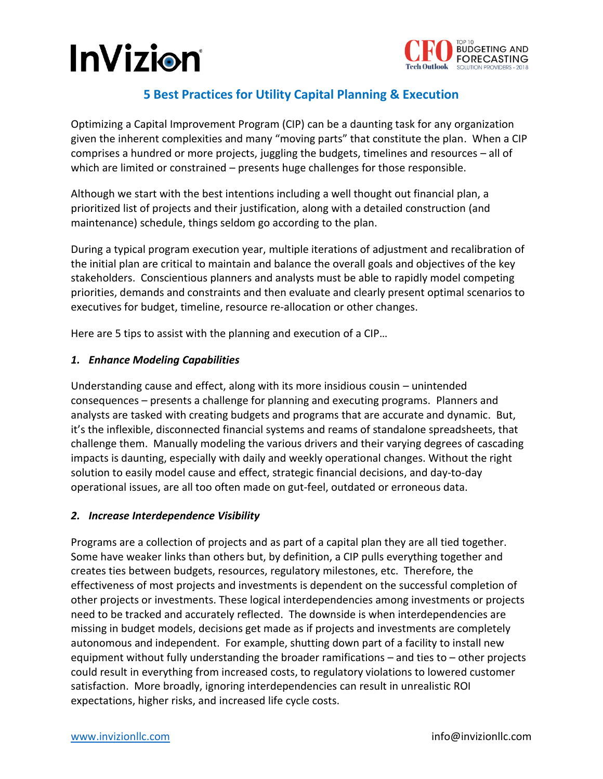## **InVizion**



### **5 Best Practices for Utility Capital Planning & Execution**

Optimizing a Capital Improvement Program (CIP) can be a daunting task for any organization given the inherent complexities and many "moving parts" that constitute the plan. When a CIP comprises a hundred or more projects, juggling the budgets, timelines and resources – all of which are limited or constrained – presents huge challenges for those responsible.

Although we start with the best intentions including a well thought out financial plan, a prioritized list of projects and their justification, along with a detailed construction (and maintenance) schedule, things seldom go according to the plan.

During a typical program execution year, multiple iterations of adjustment and recalibration of the initial plan are critical to maintain and balance the overall goals and objectives of the key stakeholders. Conscientious planners and analysts must be able to rapidly model competing priorities, demands and constraints and then evaluate and clearly present optimal scenarios to executives for budget, timeline, resource re-allocation or other changes.

Here are 5 tips to assist with the planning and execution of a CIP…

### *1. Enhance Modeling Capabilities*

Understanding cause and effect, along with its more insidious cousin – unintended consequences – presents a challenge for planning and executing programs. Planners and analysts are tasked with creating budgets and programs that are accurate and dynamic. But, it's the inflexible, disconnected financial systems and reams of standalone spreadsheets, that challenge them. Manually modeling the various drivers and their varying degrees of cascading impacts is daunting, especially with daily and weekly operational changes. Without the right solution to easily model cause and effect, strategic financial decisions, and day-to-day operational issues, are all too often made on gut-feel, outdated or erroneous data.

### *2. Increase Interdependence Visibility*

Programs are a collection of projects and as part of a capital plan they are all tied together. Some have weaker links than others but, by definition, a CIP pulls everything together and creates ties between budgets, resources, regulatory milestones, etc. Therefore, the effectiveness of most projects and investments is dependent on the successful completion of other projects or investments. These logical interdependencies among investments or projects need to be tracked and accurately reflected. The downside is when interdependencies are missing in budget models, decisions get made as if projects and investments are completely autonomous and independent. For example, shutting down part of a facility to install new equipment without fully understanding the broader ramifications – and ties to – other projects could result in everything from increased costs, to regulatory violations to lowered customer satisfaction. More broadly, ignoring interdependencies can result in unrealistic ROI expectations, higher risks, and increased life cycle costs.